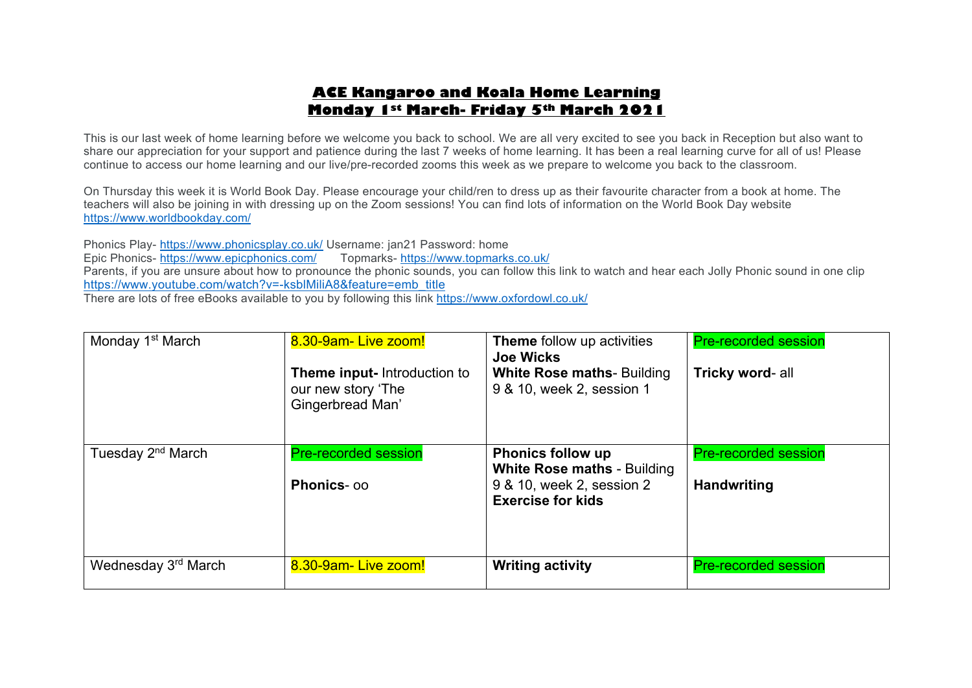# **ACE Kangaroo and Koala Home Learning Monday 1st March- Friday 5th March 2021**

This is our last week of home learning before we welcome you back to school. We are all very excited to see you back in Reception but also want to share our appreciation for your support and patience during the last 7 weeks of home learning. It has been a real learning curve for all of us! Please continue to access our home learning and our live/pre-recorded zooms this week as we prepare to welcome you back to the classroom.

On Thursday this week it is World Book Day. Please encourage your child/ren to dress up as their favourite character from a book at home. The teachers will also be joining in with dressing up on the Zoom sessions! You can find lots of information on the World Book Day website https://www.worldbookday.com/

Phonics Play- https://www.phonicsplay.co.uk/ Username: jan21 Password: home Epic Phonics- https://www.epicphonics.com/ Parents, if you are unsure about how to pronounce the phonic sounds, you can follow this link to watch and hear each Jolly Phonic sound in one clip https://www.youtube.com/watch?v=-ksblMiliA8&feature=emb\_title There are lots of free eBooks available to you by following this link https://www.oxfordowl.co.uk/

| Monday 1 <sup>st</sup> March  | 8.30-9am-Live zoom!<br><b>Theme input-</b> Introduction to<br>our new story 'The<br>Gingerbread Man' | <b>Theme</b> follow up activities<br><b>Joe Wicks</b><br><b>White Rose maths- Building</b><br>9 & 10, week 2, session 1 | <b>Pre-recorded session</b><br>Tricky word- all |
|-------------------------------|------------------------------------------------------------------------------------------------------|-------------------------------------------------------------------------------------------------------------------------|-------------------------------------------------|
| Tuesday 2 <sup>nd</sup> March | <b>Pre-recorded session</b>                                                                          | <b>Phonics follow up</b><br><b>White Rose maths - Building</b>                                                          | <b>Pre-recorded session</b>                     |
|                               | <b>Phonics-00</b>                                                                                    | 9 & 10, week 2, session 2<br><b>Exercise for kids</b>                                                                   | <b>Handwriting</b>                              |
| Wednesday 3rd March           | 8.30-9am-Live zoom!                                                                                  | <b>Writing activity</b>                                                                                                 | <b>Pre-recorded session</b>                     |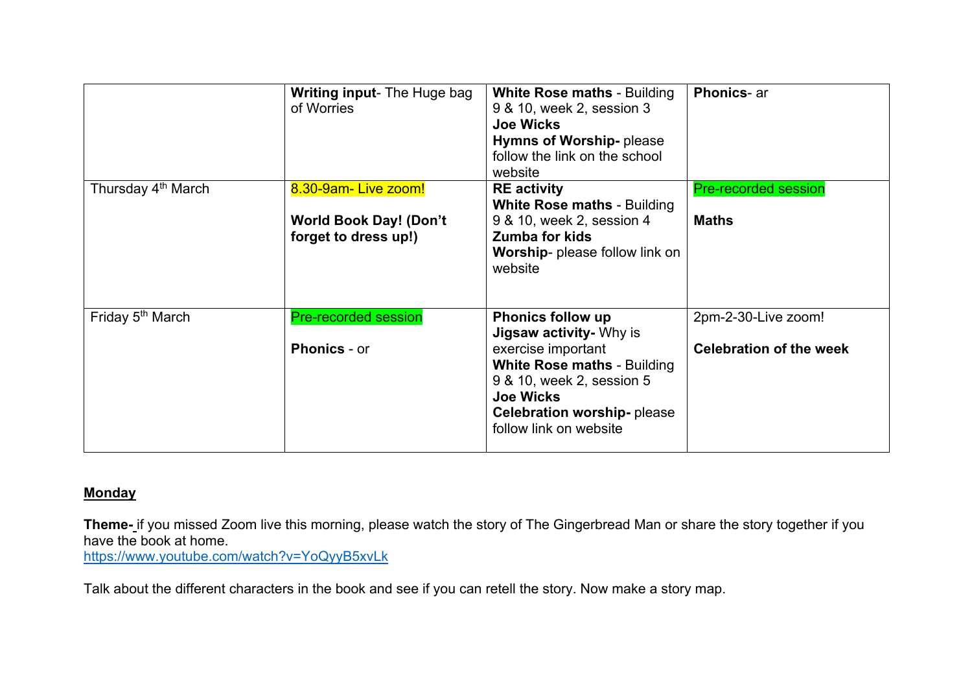|                                | <b>Writing input-</b> The Huge bag<br>of Worries      | <b>White Rose maths - Building</b><br>9 & 10, week 2, session 3<br><b>Joe Wicks</b><br>Hymns of Worship-please<br>follow the link on the school<br>website               | <b>Phonics-ar</b>              |
|--------------------------------|-------------------------------------------------------|--------------------------------------------------------------------------------------------------------------------------------------------------------------------------|--------------------------------|
| Thursday 4 <sup>th</sup> March | 8.30-9am-Live zoom!                                   | <b>RE</b> activity<br><b>White Rose maths - Building</b>                                                                                                                 | <b>Pre-recorded session</b>    |
|                                | <b>World Book Day! (Don't</b><br>forget to dress up!) | 9 & 10, week 2, session 4<br>Zumba for kids<br>Worship- please follow link on<br>website                                                                                 | <b>Maths</b>                   |
| Friday 5 <sup>th</sup> March   | <b>Pre-recorded session</b>                           | <b>Phonics follow up</b><br><b>Jigsaw activity- Why is</b>                                                                                                               | 2pm-2-30-Live zoom!            |
|                                | <b>Phonics - or</b>                                   | exercise important<br><b>White Rose maths - Building</b><br>9 & 10, week 2, session 5<br><b>Joe Wicks</b><br><b>Celebration worship-please</b><br>follow link on website | <b>Celebration of the week</b> |

# **Monday**

**Theme-** if you missed Zoom live this morning, please watch the story of The Gingerbread Man or share the story together if you have the book at home.

https://www.youtube.com/watch?v=YoQyyB5xvLk

Talk about the different characters in the book and see if you can retell the story. Now make a story map.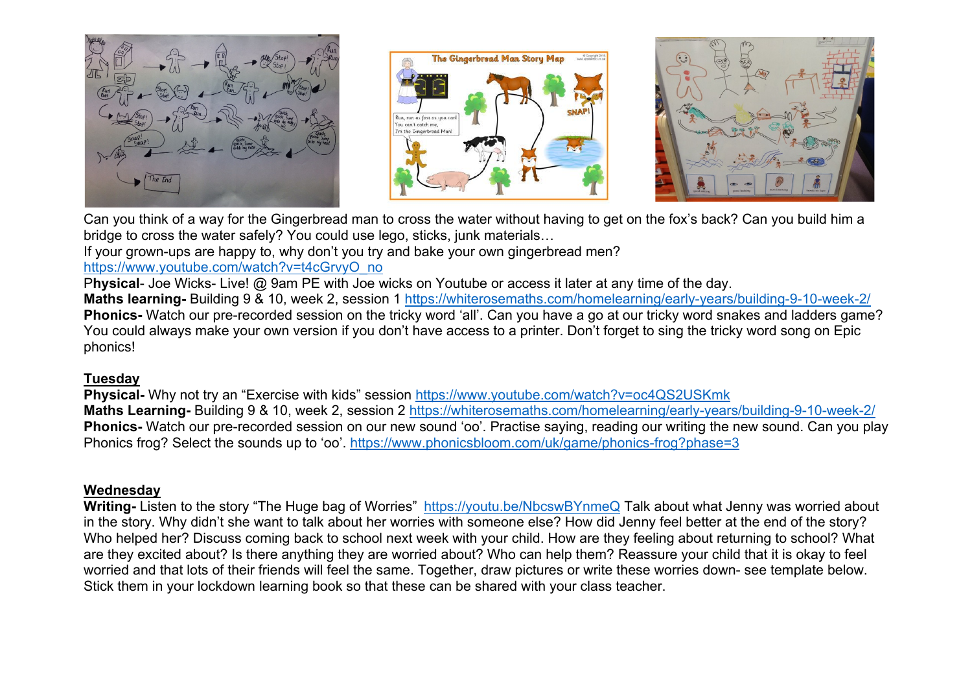





Can you think of a way for the Gingerbread man to cross the water without having to get on the fox's back? Can you build him a bridge to cross the water safely? You could use lego, sticks, junk materials…

If your grown-ups are happy to, why don't you try and bake your own gingerbread men?

# https://www.youtube.com/watch?v=t4cGrvyO\_no

P**hysical**- Joe Wicks- Live! @ 9am PE with Joe wicks on Youtube or access it later at any time of the day.

**Maths learning-** Building 9 & 10, week 2, session 1 https://whiterosemaths.com/homelearning/early-years/building-9-10-week-2/ **Phonics-** Watch our pre-recorded session on the tricky word 'all'. Can you have a go at our tricky word snakes and ladders game? You could always make your own version if you don't have access to a printer. Don't forget to sing the tricky word song on Epic phonics!

# **Tuesday**

**Physical-** Why not try an "Exercise with kids" session https://www.youtube.com/watch?v=oc4QS2USKmk **Maths Learning-** Building 9 & 10, week 2, session 2 https://whiterosemaths.com/homelearning/early-years/building-9-10-week-2/ **Phonics-** Watch our pre-recorded session on our new sound 'oo'. Practise saying, reading our writing the new sound. Can you play Phonics frog? Select the sounds up to 'oo'. https://www.phonicsbloom.com/uk/game/phonics-frog?phase=3

# **Wednesday**

**Writing-** Listen to the story "The Huge bag of Worries" https://youtu.be/NbcswBYnmeQ Talk about what Jenny was worried about in the story. Why didn't she want to talk about her worries with someone else? How did Jenny feel better at the end of the story? Who helped her? Discuss coming back to school next week with your child. How are they feeling about returning to school? What are they excited about? Is there anything they are worried about? Who can help them? Reassure your child that it is okay to feel worried and that lots of their friends will feel the same. Together, draw pictures or write these worries down- see template below. Stick them in your lockdown learning book so that these can be shared with your class teacher.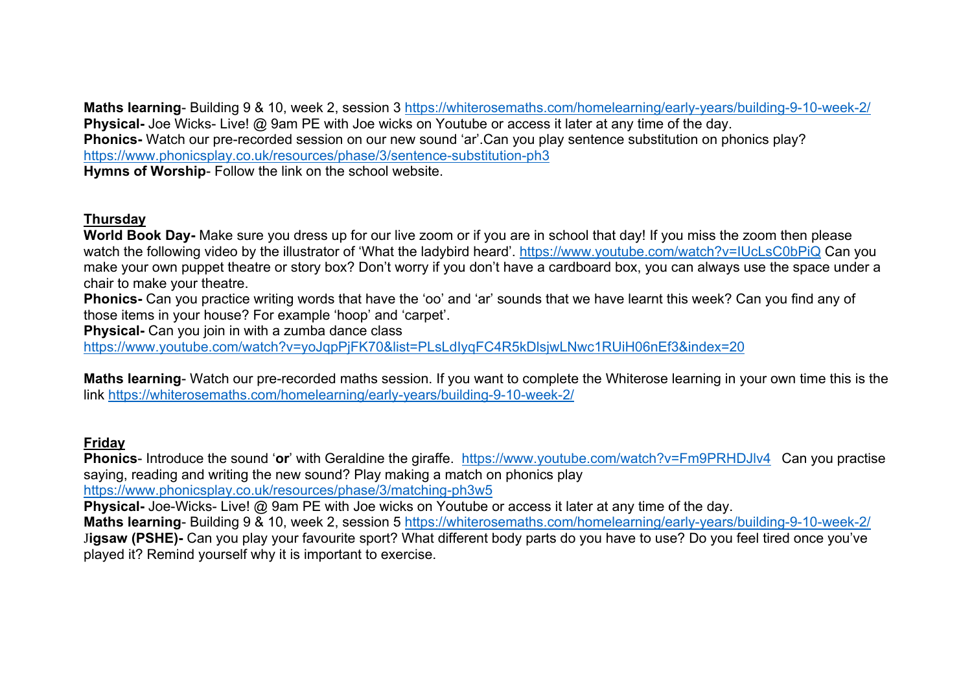**Maths learning**- Building 9 & 10, week 2, session 3 https://whiterosemaths.com/homelearning/early-years/building-9-10-week-2/ **Physical-** Joe Wicks- Live! @ 9am PE with Joe wicks on Youtube or access it later at any time of the day. **Phonics-** Watch our pre-recorded session on our new sound 'ar'.Can you play sentence substitution on phonics play? https://www.phonicsplay.co.uk/resources/phase/3/sentence-substitution-ph3 **Hymns of Worship**- Follow the link on the school website.

#### **Thursday**

**World Book Day-** Make sure you dress up for our live zoom or if you are in school that day! If you miss the zoom then please watch the following video by the illustrator of 'What the ladybird heard'. https://www.youtube.com/watch?v=IUcLsC0bPiQ Can you make your own puppet theatre or story box? Don't worry if you don't have a cardboard box, you can always use the space under a chair to make your theatre.

**Phonics-** Can you practice writing words that have the 'oo' and 'ar' sounds that we have learnt this week? Can you find any of those items in your house? For example 'hoop' and 'carpet'.

**Physical-** Can you join in with a zumba dance class

https://www.youtube.com/watch?v=yoJqpPjFK70&list=PLsLdIyqFC4R5kDlsjwLNwc1RUiH06nEf3&index=20

**Maths learning**- Watch our pre-recorded maths session. If you want to complete the Whiterose learning in your own time this is the link https://whiterosemaths.com/homelearning/early-years/building-9-10-week-2/

#### **Friday**

**Phonics**- Introduce the sound 'or' with Geraldine the giraffe. https://www.youtube.com/watch?v=Fm9PRHDJlv4 Can you practise saying, reading and writing the new sound? Play making a match on phonics play https://www.phonicsplay.co.uk/resources/phase/3/matching-ph3w5

**Physical-** Joe-Wicks- Live! @ 9am PE with Joe wicks on Youtube or access it later at any time of the day.

**Maths learning**- Building 9 & 10, week 2, session 5 https://whiterosemaths.com/homelearning/early-years/building-9-10-week-2/ J**igsaw (PSHE)-** Can you play your favourite sport? What different body parts do you have to use? Do you feel tired once you've played it? Remind yourself why it is important to exercise.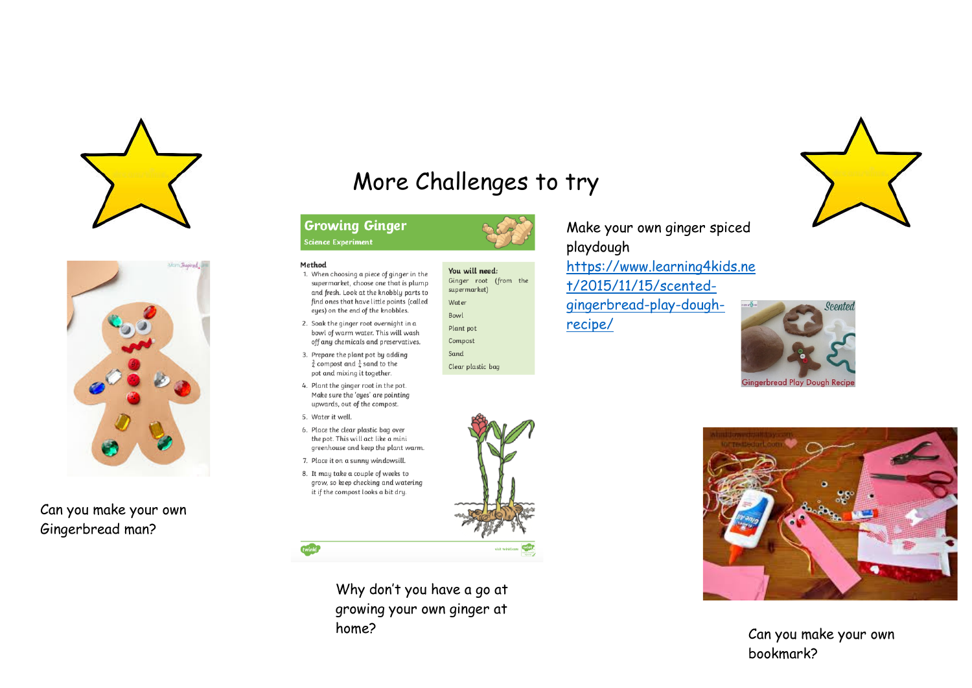



Can you make your own Gingerbread man?

# More Challenges to try

# **Growing Ginger**

**Science Experiment** 

Method



1. When choosing a piece of ginger in the supermarket, choose one that is plump supermarket) and fresh. Look at the knobbly parts to find ones that have little points (called Water eyes) on the end of the knobbles. Bowl 2. Soak the ginger root overnight in a Plant pot bowl of warm water. This will wash

Sand

Clear plastic bag

off any chemicals and preservatives. 3. Prepare the plant pot by adding  $\frac{3}{4}$  compost and  $\frac{1}{4}$  sand to the pot and mixing it together.

- 4. Plant the ginger root in the pot. Make sure the 'eues' are pointing upwards, out of the compost.
- 5. Water it well.
- 6. Place the clear plastic bag over the pot. This will act like a mini greenhouse and keep the plant warm.
- 7. Place it on a sunny windowsill
- 8. It may take a couple of weeks to grow, so keep checking and watering it if the compost looks a bit dry.



Make your own ginger spiced playdough

https://www.learning4kids.ne t/2015/11/15/scentedgingerbread-play-dough-

recipe/





Can you make your own bookmark?



Why don't you have a go at growing your own ginger at home?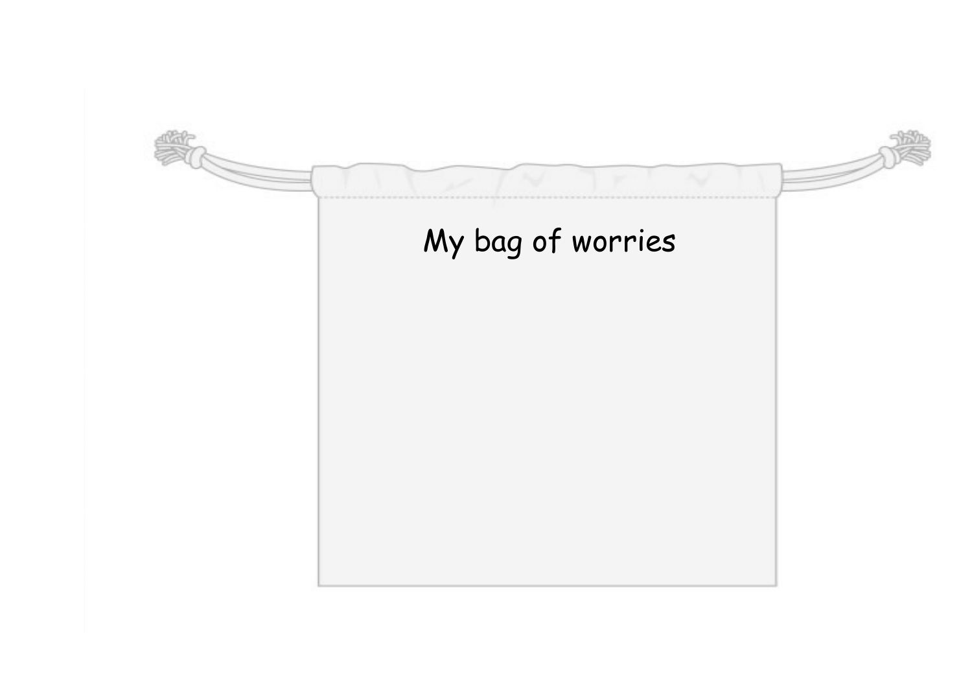